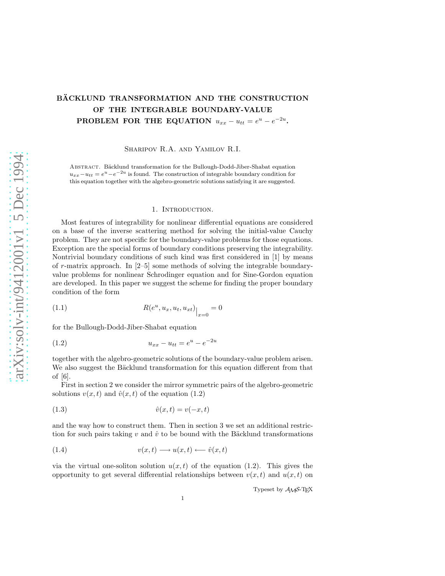# BÄCKLUND TRANSFORMATION AND THE CONSTRUCTION OF THE INTEGRABLE BOUNDARY-VALUE **PROBLEM FOR THE EQUATION**  $u_{xx} - u_{tt} = e^u - e^{-2u}$ .

Sharipov R.A. and Yamilov R.I.

ABSTRACT. Bäcklund transformation for the Bullough-Dodd-Jiber-Shabat equation  $u_{xx}-u_{tt}=e^u-e^{-2u}$  is found. The construction of integrable boundary condition for this equation together with the algebro-geometric solutions satisfying it are suggested.

#### 1. INTRODUCTION.

Most features of integrability for nonlinear differential equations are considered on a base of the inverse scattering method for solving the initial-value Cauchy problem. They are not specific for the boundary-value problems for those equations. Exception are the special forms of boundary conditions preserving the integrability. Nontrivial boundary conditions of such kind was first considered in [1] by means of r-matrix approach. In [2–5] some methods of solving the integrable boundaryvalue problems for nonlinear Schrodinger equation and for Sine-Gordon equation are developed. In this paper we suggest the scheme for finding the proper boundary condition of the form

(1.1) 
$$
R(e^u, u_x, u_t, u_{xt})_{\big|_{x=0}} = 0
$$

for the Bullough-Dodd-Jiber-Shabat equation

(1.2) 
$$
u_{xx} - u_{tt} = e^u - e^{-2u}
$$

together with the algebro-geometric solutions of the boundary-value problem arisen. We also suggest the Bäcklund transformation for this equation different from that of [6].

First in section 2 we consider the mirror symmetric pairs of the algebro-geometric solutions  $v(x, t)$  and  $\hat{v}(x, t)$  of the equation (1.2)

$$
(1.3) \qquad \qquad \hat{v}(x,t) = v(-x,t)
$$

and the way how to construct them. Then in section 3 we set an additional restriction for such pairs taking v and  $\hat{v}$  to be bound with the Bäcklund transformations

$$
(1.4) \t v(x,t) \longrightarrow u(x,t) \longleftarrow \hat{v}(x,t)
$$

via the virtual one-soliton solution  $u(x, t)$  of the equation (1.2). This gives the opportunity to get several differential relationships between  $v(x, t)$  and  $u(x, t)$  on

Typeset by AMS-TEX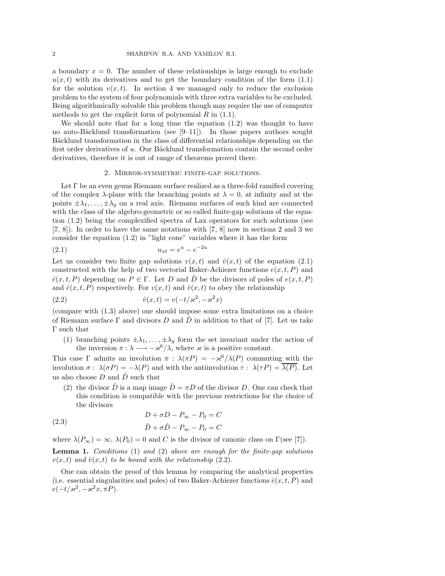a boundary  $x = 0$ . The number of these relationships is large enough to exclude  $u(x, t)$  with its derivatives and to get the boundary condition of the form (1.1) for the solution  $v(x, t)$ . In section 4 we managed only to reduce the exclusion problem to the system of four polynomials with three extra variables to be excluded. Being algorithmically solvable this problem though may require the use of computer methods to get the explicit form of polynomial  $R$  in  $(1.1)$ .

We should note that for a long time the equation  $(1.2)$  was thought to have no auto-Bäcklund transformation (see  $[9-11]$ ). In those papers authors sought Bäcklund transformation in the class of differential relationships depending on the first order derivatives of  $u$ . Our Bäcklund transformation contain the second order derivatives, therefore it is out of range of theorems proved there.

## 2. Mirror-symmetric finite-gap solutions.

Let  $\Gamma$  be an even genus Riemann surface realized as a three-fold ramified covering of the complex  $\lambda$ -plane with the branching points at  $\lambda = 0$ , at infinity and at the points  $\pm \lambda_1, \ldots, \pm \lambda_g$  on a real axis. Riemann surfaces of such kind are connected with the class of the algebro-geometric or so called finite-gap solutions of the equation (1.2) being the complexified spectra of Lax operators for such solutions (see [7, 8]). In order to have the same notations with [7, 8] now in sections 2 and 3 we consider the equation (1.2) in "light cone" variables where it has the form

(2.1) 
$$
u_{xt} = e^u - e^{-2u}
$$

Let us consider two finite gap solutions  $v(x, t)$  and  $\hat{v}(x, t)$  of the equation (2.1) constructed with the help of two vectorial Baker-Achiezer functions  $e(x, t, P)$  and  $\hat{e}(x, t, P)$  depending on  $P \in \Gamma$ . Let D and  $\hat{D}$  be the divisors of poles of  $e(x, t, P)$ and  $\hat{e}(x, t, P)$  respectively. For  $v(x, t)$  and  $\hat{v}(x, t)$  to obey the relationship

(2.2) 
$$
\hat{v}(x,t) = v(-t/\varkappa^2, -\varkappa^2 x)
$$

(compare with (1.3) above) one should impose some extra limitations on a choice of Riemann surface  $\Gamma$  and divisors D and D in addition to that of [7]. Let us take Γ such that

(1) branching points  $\pm \lambda_1, \ldots, \pm \lambda_g$  form the set invariant under the action of the inversion  $\pi : \lambda \longrightarrow -\varkappa^6/\lambda$ , where  $\varkappa$  is a positive constant.

This case  $\Gamma$  admits an involution  $\pi$ :  $\lambda(\pi P) = -\varkappa^6/\lambda(P)$  commuting with the involution  $\sigma : \lambda(\sigma P) = -\lambda(P)$  and with the antiinvolution  $\tau : \lambda(\tau P) = \overline{\lambda(P)}$ . Let us also choose  $D$  and  $\hat{D}$  such that

(2) the divisor  $\hat{D}$  is a map image  $\hat{D} = \pi D$  of the divisor D. One can check that this condition is compatible with the previous restrictions for the choice of the divisors

(2.3) 
$$
D + \sigma D - P_{\infty} - P_0 = C
$$

$$
\hat{D} + \sigma \hat{D} - P_{\infty} - P_0 = C
$$

where  $\lambda(P_{\infty}) = \infty$ ,  $\lambda(P_0) = 0$  and C is the divisor of canonic class on  $\Gamma(\text{see } [7])$ .

Lemma 1. Conditions (1) and (2) above are enough for the finite-gap solutions  $v(x, t)$  and  $\hat{v}(x, t)$  to be bound with the relationship (2.2).

One can obtain the proof of this lemma by comparing the analytical properties (i.e. essential singularities and poles) of two Baker-Achiezer functions  $\hat{e}(x, t, P)$  and  $e(-t/\varkappa^2, -\varkappa^2 x, \pi P).$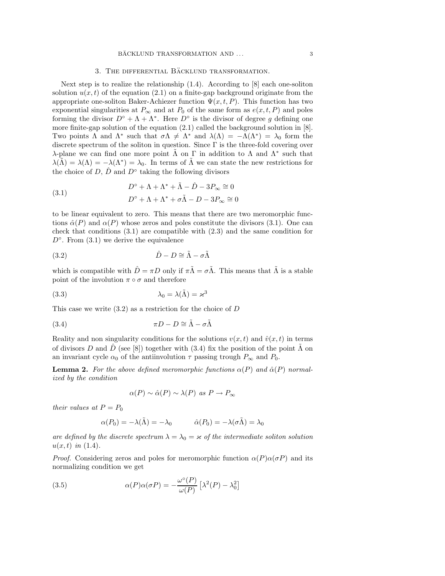# 3. THE DIFFERENTIAL BÄCKLUND TRANSFORMATION.

Next step is to realize the relationship (1.4). According to [8] each one-soliton solution  $u(x, t)$  of the equation (2.1) on a finite-gap background originate from the appropriate one-soliton Baker-Achiezer function  $\Psi(x, t, P)$ . This function has two exponential singularities at  $P_{\infty}$  and at  $P_0$  of the same form as  $e(x, t, P)$  and poles forming the divisor  $D^{\circ} + \Lambda + \Lambda^*$ . Here  $D^{\circ}$  is the divisor of degree g defining one more finite-gap solution of the equation (2.1) called the background solution in [8]. Two points  $\Lambda$  and  $\Lambda^*$  such that  $\sigma \Lambda \neq \Lambda^*$  and  $\lambda(\Lambda) = -\Lambda(\Lambda^*) = \lambda_0$  form the discrete spectrum of the soliton in question. Since Γ is the three-fold covering over λ-plane we can find one more point  $\tilde{\Lambda}$  on Γ in addition to  $\Lambda$  and  $\Lambda^*$  such that  $\lambda(\tilde{\Lambda}) = \lambda(\Lambda) = -\lambda(\Lambda^*) = \lambda_0$ . In terms of  $\tilde{\Lambda}$  we can state the new restrictions for the choice of  $D, \hat{D}$  and  $D^{\circ}$  taking the following divisors

(3.1) 
$$
D^{\circ} + \Lambda + \Lambda^* + \tilde{\Lambda} - \hat{D} - 3P_{\infty} \cong 0
$$

$$
D^{\circ} + \Lambda + \Lambda^* + \sigma \tilde{\Lambda} - D - 3P_{\infty} \cong 0
$$

to be linear equivalent to zero. This means that there are two meromorphic functions  $\hat{\alpha}(P)$  and  $\alpha(P)$  whose zeros and poles constitute the divisors (3.1). One can check that conditions (3.1) are compatible with (2.3) and the same condition for  $D^{\circ}$ . From  $(3.1)$  we derive the equivalence

$$
(3.2) \t\t \hat{D} - D \cong \tilde{\Lambda} - \sigma \tilde{\Lambda}
$$

which is compatible with  $\hat{D} = \pi D$  only if  $\pi \tilde{\Lambda} = \sigma \tilde{\Lambda}$ . This means that  $\tilde{\Lambda}$  is a stable point of the involution  $\pi \circ \sigma$  and therefore

(3.3) 
$$
\lambda_0 = \lambda(\tilde{\Lambda}) = \varkappa^3
$$

This case we write  $(3.2)$  as a restriction for the choice of D

(3.4) 
$$
\pi D - D \cong \tilde{\Lambda} - \sigma \tilde{\Lambda}
$$

Reality and non singularity conditions for the solutions  $v(x, t)$  and  $\hat{v}(x, t)$  in terms of divisors D and  $\hat{D}$  (see [8]) together with (3.4) fix the position of the point  $\tilde{\Lambda}$  on an invariant cycle  $\alpha_0$  of the antiinvolution  $\tau$  passing trough  $P_\infty$  and  $P_0$ .

**Lemma 2.** For the above defined meromorphic functions  $\alpha(P)$  and  $\hat{\alpha}(P)$  normalized by the condition

$$
\alpha(P) \sim \hat{\alpha}(P) \sim \lambda(P) \text{ as } P \to P_{\infty}
$$

their values at  $P = P_0$ 

$$
\alpha(P_0) = -\lambda(\tilde{\Lambda}) = -\lambda_0 \qquad \hat{\alpha}(P_0) = -\lambda(\sigma \tilde{\Lambda}) = \lambda_0
$$

are defined by the discrete spectrum  $\lambda = \lambda_0 = \varkappa$  of the intermediate soliton solution  $u(x, t)$  in (1.4).

*Proof.* Considering zeros and poles for meromorphic function  $\alpha(P)\alpha(\sigma P)$  and its normalizing condition we get

(3.5) 
$$
\alpha(P)\alpha(\sigma P) = -\frac{\omega^{\circ}(P)}{\omega(P)} \left[ \lambda^{2}(P) - \lambda_{0}^{2} \right]
$$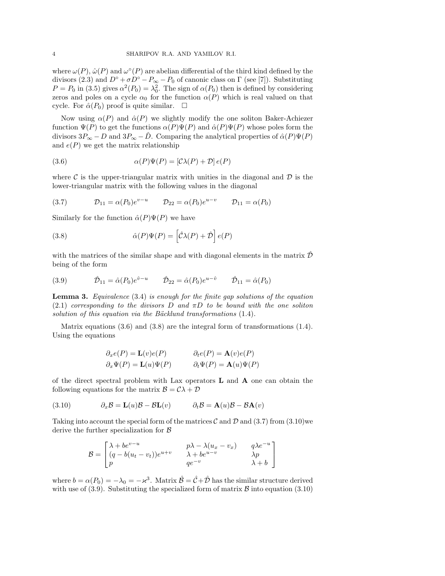where  $\omega(P)$ ,  $\hat{\omega}(P)$  and  $\omega^{\circ}(P)$  are abelian differential of the third kind defined by the divisors (2.3) and  $D^{\circ} + \sigma D^{\circ} - P_{\infty} - P_0$  of canonic class on  $\Gamma$  (see [7]). Substituting  $P = P_0$  in (3.5) gives  $\alpha^2(P_0) = \lambda_0^2$ . The sign of  $\alpha(P_0)$  then is defined by considering zeros and poles on a cycle  $\alpha_0$  for the function  $\alpha(P)$  which is real valued on that cycle. For  $\hat{\alpha}(P_0)$  proof is quite similar.  $\square$ 

Now using  $\alpha(P)$  and  $\hat{\alpha}(P)$  we slightly modify the one soliton Baker-Achiezer function  $\Psi(P)$  to get the functions  $\alpha(P)\Psi(P)$  and  $\hat{\alpha}(P)\Psi(P)$  whose poles form the divisors  $3P_{\infty} - D$  and  $3P_{\infty} - \hat{D}$ . Comparing the analytical properties of  $\hat{\alpha}(P)\Psi(P)$ and  $e(P)$  we get the matrix relationship

(3.6) 
$$
\alpha(P)\Psi(P) = [\mathcal{C}\lambda(P) + \mathcal{D}]e(P)
$$

where C is the upper-triangular matrix with unities in the diagonal and  $\mathcal D$  is the lower-triangular matrix with the following values in the diagonal

(3.7) 
$$
\mathcal{D}_{11} = \alpha(P_0)e^{v-u} \qquad \mathcal{D}_{22} = \alpha(P_0)e^{u-v} \qquad \mathcal{D}_{11} = \alpha(P_0)
$$

Similarly for the function  $\hat{\alpha}(P)\Psi(P)$  we have

(3.8) 
$$
\hat{\alpha}(P)\Psi(P) = \left[\hat{\mathcal{C}}\lambda(P) + \hat{\mathcal{D}}\right]e(P)
$$

with the matrices of the similar shape and with diagonal elements in the matrix  $\hat{\mathcal{D}}$ being of the form

(3.9) 
$$
\hat{\mathcal{D}}_{11} = \hat{\alpha}(P_0)e^{\hat{v}-u} \qquad \hat{\mathcal{D}}_{22} = \hat{\alpha}(P_0)e^{u-\hat{v}} \qquad \hat{\mathcal{D}}_{11} = \hat{\alpha}(P_0)
$$

**Lemma 3.** Equivalence  $(3.4)$  is enough for the finite gap solutions of the equation (2.1) corresponding to the divisors D and  $\pi D$  to be bound with the one soliton solution of this equation via the Bäcklund transformations  $(1.4)$ .

Matrix equations (3.6) and (3.8) are the integral form of transformations (1.4). Using the equations

$$
\partial_x e(P) = \mathbf{L}(v)e(P) \qquad \partial_t e(P) = \mathbf{A}(v)e(P)
$$
  

$$
\partial_x \Psi(P) = \mathbf{L}(u)\Psi(P) \qquad \partial_t \Psi(P) = \mathbf{A}(u)\Psi(P)
$$

of the direct spectral problem with Lax operators  $L$  and  $A$  one can obtain the following equations for the matrix  $\mathcal{B} = \mathcal{C}\lambda + \mathcal{D}$ 

(3.10) 
$$
\partial_x \mathcal{B} = \mathbf{L}(u)\mathcal{B} - \mathcal{B}\mathbf{L}(v) \qquad \partial_t \mathcal{B} = \mathbf{A}(u)\mathcal{B} - \mathcal{B}\mathbf{A}(v)
$$

Taking into account the special form of the matrices  $\mathcal C$  and  $\mathcal D$  and  $(3.7)$  from  $(3.10)$  we derive the further specialization for B

$$
\mathcal{B} = \begin{bmatrix} \lambda + be^{v-u} & p\lambda - \lambda(u_x - v_x) & q\lambda e^{-u} \\ (q - b(u_t - v_t))e^{u+v} & \lambda + be^{u-v} & \lambda p \\ p & qe^{-v} & \lambda + b \end{bmatrix}
$$

where  $b = \alpha(P_0) = -\lambda_0 = -\varkappa^3$ . Matrix  $\hat{\mathcal{B}} = \hat{\mathcal{C}} + \hat{\mathcal{D}}$  has the similar structure derived with use of (3.9). Substituting the specialized form of matrix  $\beta$  into equation (3.10)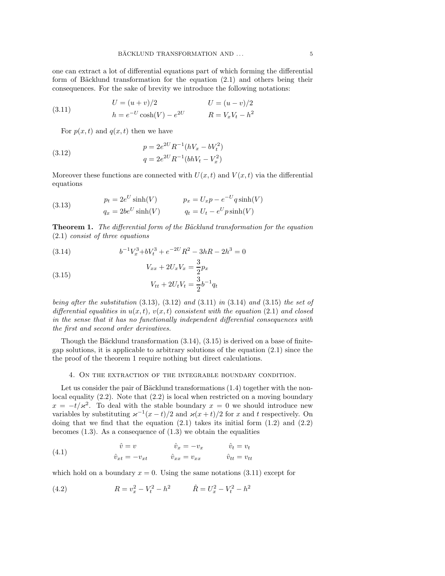one can extract a lot of differential equations part of which forming the differential form of Bäcklund transformation for the equation  $(2.1)$  and others being their consequences. For the sake of brevity we introduce the following notations:

(3.11) 
$$
U = (u + v)/2 \qquad U = (u - v)/2 \nh = e^{-U} \cosh(V) - e^{2U} \qquad R = V_x V_t - h^2
$$

For  $p(x, t)$  and  $q(x, t)$  then we have

(3.12) 
$$
p = 2e^{2U}R^{-1}(hV_x - bV_t^2)
$$

$$
q = 2e^{2U}R^{-1}(bhV_t - V_x^2)
$$

Moreover these functions are connected with  $U(x, t)$  and  $V(x, t)$  via the differential equations

(3.13) 
$$
p_t = 2e^U \sinh(V) \qquad p_x = U_x p - e^{-U} q \sinh(V)
$$

$$
q_x = 2be^U \sinh(V) \qquad q_t = U_t - e^U p \sinh(V)
$$

**Theorem 1.** The differential form of the Bäcklund transformation for the equation (2.1) consist of three equations

(3.14) 
$$
b^{-1}V_x^3 + bV_t^3 + e^{-2U}R^2 - 3hR - 2h^3 = 0
$$

(3.15) 
$$
V_{xx} + 2U_x V_x = \frac{1}{2} p_x
$$

$$
V_{tt} + 2U_t V_t = \frac{3}{2} b^{-1} q_t
$$

being after the substitution  $(3.13)$ ,  $(3.12)$  and  $(3.11)$  in  $(3.14)$  and  $(3.15)$  the set of differential equalities in  $u(x, t)$ ,  $v(x, t)$  consistent with the equation (2.1) and closed in the sense that it has no functionally independent differential consequences with the first and second order derivatives.

Though the Bäcklund transformation  $(3.14)$ ,  $(3.15)$  is derived on a base of finitegap solutions, it is applicable to arbitrary solutions of the equation (2.1) since the the proof of the theorem 1 require nothing but direct calculations.

### 4. On the extraction of the integrable boundary condition.

Let us consider the pair of Bäcklund transformations  $(1.4)$  together with the nonlocal equality  $(2.2)$ . Note that  $(2.2)$  is local when restricted on a moving boundary  $x = -t/\varkappa^2$ . To deal with the stable boundary  $x = 0$  we should introduce new variables by substituting  $\kappa^{-1}(x-t)/2$  and  $\kappa(x+t)/2$  for x and t respectively. On doing that we find that the equation  $(2.1)$  takes its initial form  $(1.2)$  and  $(2.2)$ becomes  $(1.3)$ . As a consequence of  $(1.3)$  we obtain the equalities

(4.1) 
$$
\hat{v} = v \qquad \hat{v}_x = -v_x \qquad \hat{v}_t = v_t \n\hat{v}_{xt} = -v_{xt} \qquad \hat{v}_{xx} = v_{xx} \qquad \hat{v}_{tt} = v_{tt}
$$

which hold on a boundary  $x = 0$ . Using the same notations (3.11) except for

(4.2) 
$$
R = v_x^2 - V_t^2 - h^2 \qquad \hat{R} = U_x^2 - V_t^2 - h^2
$$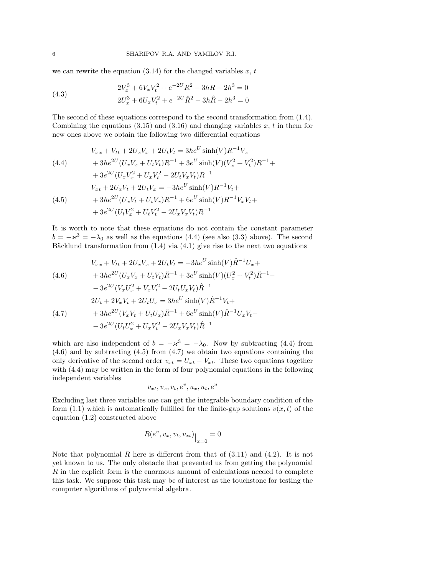#### 6 SHARIPOV R.A. AND YAMILOV R.I.

we can rewrite the equation  $(3.14)$  for the changed variables x, t

(4.3) 
$$
2V_x^3 + 6V_xV_t^2 + e^{-2U}R^2 - 3hR - 2h^3 = 0
$$

$$
2U_x^3 + 6U_xV_t^2 + e^{-2U}\hat{R}^2 - 3h\hat{R} - 2h^3 = 0
$$

The second of these equations correspond to the second transformation from (1.4). Combining the equations  $(3.15)$  and  $(3.16)$  and changing variables x, t in them for new ones above we obtain the following two differential equations

(4.4)  
\n
$$
V_{xx} + V_{tt} + 2U_xV_x + 2U_tV_t = 3he^U \sinh(V)R^{-1}V_x +
$$
\n
$$
+ 3he^{2U}(U_xV_x + U_tV_t)R^{-1} + 3e^U \sinh(V)(V_x^2 + V_t^2)R^{-1} +
$$
\n
$$
+ 3e^{2U}(U_xV_x^2 + U_xV_t^2 - 2U_tV_xV_t)R^{-1}
$$
\n
$$
V_{xt} + 2U_xV_t + 2U_tV_x = -3he^U \sinh(V)R^{-1}V_t +
$$
\n(4.5)  
\n
$$
+ 3he^{2U}(U_xV_t + U_tV_x)R^{-1} + 6e^U \sinh(V)R^{-1}V_xV_t +
$$
\n
$$
+ 3e^{2U}(U_tV_x^2 + U_tV_t^2 - 2U_xV_xV_t)R^{-1}
$$

It is worth to note that these equations do not contain the constant parameter  $b = -\varkappa^3 = -\lambda_0$  as well as the equations (4.4) (see also (3.3) above). The second Bäcklund transformation from  $(1.4)$  via  $(4.1)$  give rise to the next two equations

$$
V_{xx} + V_{tt} + 2U_xV_x + 2U_tV_t = -3he^U \sinh(V)\hat{R}^{-1}U_x +
$$
  
\n
$$
+ 3he^{2U}(U_xV_x + U_tV_t)\hat{R}^{-1} + 3e^U \sinh(V)(U_x^2 + V_t^2)\hat{R}^{-1} -
$$
  
\n
$$
- 3e^{2U}(V_xU_x^2 + V_xV_t^2 - 2U_tU_xV_t)\hat{R}^{-1}
$$
  
\n
$$
2U_t + 2V_xV_t + 2U_tU_x = 3he^U \sinh(V)\hat{R}^{-1}V_t +
$$
  
\n(4.7) 
$$
+ 3he^{2U}(V_xV_t + U_tU_x)\hat{R}^{-1} + 6e^U \sinh(V)\hat{R}^{-1}U_xV_t -
$$
  
\n
$$
- 3e^{2U}(U_tU_x^2 + U_xV_t^2 - 2U_xV_xV_t)\hat{R}^{-1}
$$

which are also independent of  $b = -\varkappa^3 = -\lambda_0$ . Now by subtracting (4.4) from  $(4.6)$  and by subtracting  $(4.5)$  from  $(4.7)$  we obtain two equations containing the only derivative of the second order  $v_{xt} = U_{xt} - V_{xt}$ . These two equations together with  $(4.4)$  may be written in the form of four polynomial equations in the following independent variables

$$
v_{xt}, v_x, v_t, e^v, u_x, u_t, e^u
$$

Excluding last three variables one can get the integrable boundary condition of the form (1.1) which is automatically fulfilled for the finite-gap solutions  $v(x, t)$  of the equation (1.2) constructed above

$$
R(e^v, v_x, v_t, v_{xt})\Big|_{x=0} = 0
$$

Note that polynomial R here is different from that of  $(3.11)$  and  $(4.2)$ . It is not yet known to us. The only obstacle that prevented us from getting the polynomial R in the explicit form is the enormous amount of calculations needed to complete this task. We suppose this task may be of interest as the touchstone for testing the computer algorithms of polynomial algebra.